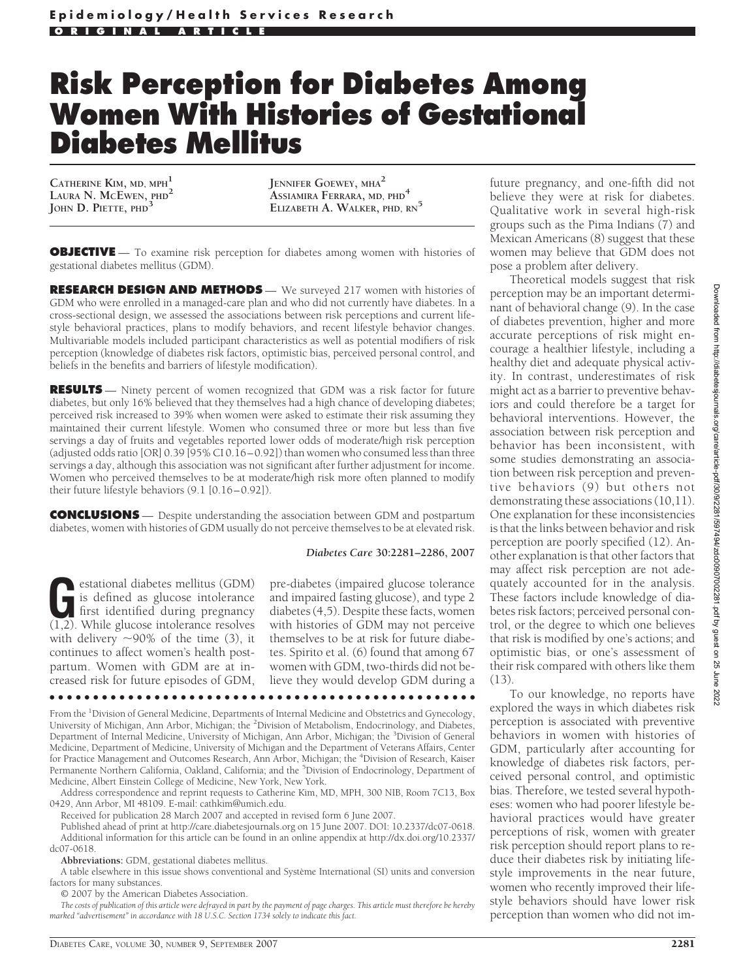# **Risk Perception for Diabetes Among Women With Histories of Gestational Diabetes Mellitus**

**CATHERINE KIM, MD, MPH<sup>1</sup> LAURA N. MCEWEN, PHD<sup>2</sup> JOHN D. PIETTE, PHD** 

**JENNIFER GOEWEY, MHA<sup>2</sup> ASSIAMIRA FERRARA, MD, PHD<sup>4</sup> ELIZABETH A. WALKER, PHD, RN5**

**OBJECTIVE** — To examine risk perception for diabetes among women with histories of gestational diabetes mellitus (GDM).

**RESEARCH DESIGN AND METHODS** — We surveyed 217 women with histories of GDM who were enrolled in a managed-care plan and who did not currently have diabetes. In a cross-sectional design, we assessed the associations between risk perceptions and current lifestyle behavioral practices, plans to modify behaviors, and recent lifestyle behavior changes. Multivariable models included participant characteristics as well as potential modifiers of risk perception (knowledge of diabetes risk factors, optimistic bias, perceived personal control, and beliefs in the benefits and barriers of lifestyle modification).

**RESULTS** — Ninety percent of women recognized that GDM was a risk factor for future diabetes, but only 16% believed that they themselves had a high chance of developing diabetes; perceived risk increased to 39% when women were asked to estimate their risk assuming they maintained their current lifestyle. Women who consumed three or more but less than five servings a day of fruits and vegetables reported lower odds of moderate/high risk perception (adjusted odds ratio [OR] 0.39 [95% CI 0.16–0.92]) than women who consumed less than three servings a day, although this association was not significant after further adjustment for income. Women who perceived themselves to be at moderate/high risk more often planned to modify their future lifestyle behaviors (9.1 [0.16–0.92]).

**CONCLUSIONS** — Despite understanding the association between GDM and postpartum diabetes, women with histories of GDM usually do not perceive themselves to be at elevated risk.

#### *Diabetes Care* **30:2281–2286, 2007**

**GESTATION**<br>
is defined as glucose intolerance<br>
first identified during pregnancy<br>
(12) While glucose intolerance resolves is defined as glucose intolerance (1,2). While glucose intolerance resolves with delivery  $\sim$ 90% of the time (3), it continues to affect women's health postpartum. Women with GDM are at increased risk for future episodes of GDM,

pre-diabetes (impaired glucose tolerance and impaired fasting glucose), and type 2 diabetes (4,5). Despite these facts, women with histories of GDM may not perceive themselves to be at risk for future diabetes. Spirito et al. (6) found that among 67 women with GDM, two-thirds did not believe they would develop GDM during a

From the <sup>1</sup>Division of General Medicine, Departments of Internal Medicine and Obstetrics and Gynecology, University of Michigan, Ann Arbor, Michigan; the <sup>2</sup>Division of Metabolism, Endocrinology, and Diabetes, Department of Internal Medicine, University of Michigan, Ann Arbor, Michigan; the <sup>3</sup>Division of General Medicine, Department of Medicine, University of Michigan and the Department of Veterans Affairs, Center for Practice Management and Outcomes Research, Ann Arbor, Michigan; the <sup>4</sup>Division of Research, Kaiser Permanente Northern California, Oakland, California; and the <sup>5</sup>Division of Endocrinology, Department of Medicine, Albert Einstein College of Medicine, New York, New York.

●●●●●●●●●●●●●●●●●●●●●●●●●●●●●●●●●●●●●●●●●●●●●●●●●

Address correspondence and reprint requests to Catherine Kim, MD, MPH, 300 NIB, Room 7C13, Box 0429, Ann Arbor, MI 48109. E-mail: cathkim@umich.edu.

Received for publication 28 March 2007 and accepted in revised form 6 June 2007.

Published ahead of print at http://care.diabetesjournals.org on 15 June 2007. DOI: 10.2337/dc07-0618. Additional information for this article can be found in an online appendix at http://dx.doi.org/10.2337/ dc07-0618.

**Abbreviations:** GDM, gestational diabetes mellitus.

A table elsewhere in this issue shows conventional and Système International (SI) units and conversion factors for many substances.

© 2007 by the American Diabetes Association.

*The costs of publication of this article were defrayed in part by the payment of page charges. This article must therefore be hereby marked "advertisement" in accordance with 18 U.S.C. Section 1734 solely to indicate this fact.*

future pregnancy, and one-fifth did not believe they were at risk for diabetes. Qualitative work in several high-risk groups such as the Pima Indians (7) and Mexican Americans (8) suggest that these women may believe that GDM does not pose a problem after delivery.

Theoretical models suggest that risk perception may be an important determinant of behavioral change (9). In the case of diabetes prevention, higher and more accurate perceptions of risk might encourage a healthier lifestyle, including a healthy diet and adequate physical activity. In contrast, underestimates of risk might act as a barrier to preventive behaviors and could therefore be a target for behavioral interventions. However, the association between risk perception and behavior has been inconsistent, with some studies demonstrating an association between risk perception and preventive behaviors (9) but others not demonstrating these associations (10,11). One explanation for these inconsistencies is that the links between behavior and risk perception are poorly specified (12). Another explanation is that other factors that may affect risk perception are not adequately accounted for in the analysis. These factors include knowledge of diabetes risk factors; perceived personal control, or the degree to which one believes that risk is modified by one's actions; and optimistic bias, or one's assessment of their risk compared with others like them (13).

To our knowledge, no reports have explored the ways in which diabetes risk perception is associated with preventive behaviors in women with histories of GDM, particularly after accounting for knowledge of diabetes risk factors, perceived personal control, and optimistic bias. Therefore, we tested several hypotheses: women who had poorer lifestyle behavioral practices would have greater perceptions of risk, women with greater risk perception should report plans to reduce their diabetes risk by initiating lifestyle improvements in the near future, women who recently improved their lifestyle behaviors should have lower risk perception than women who did not im-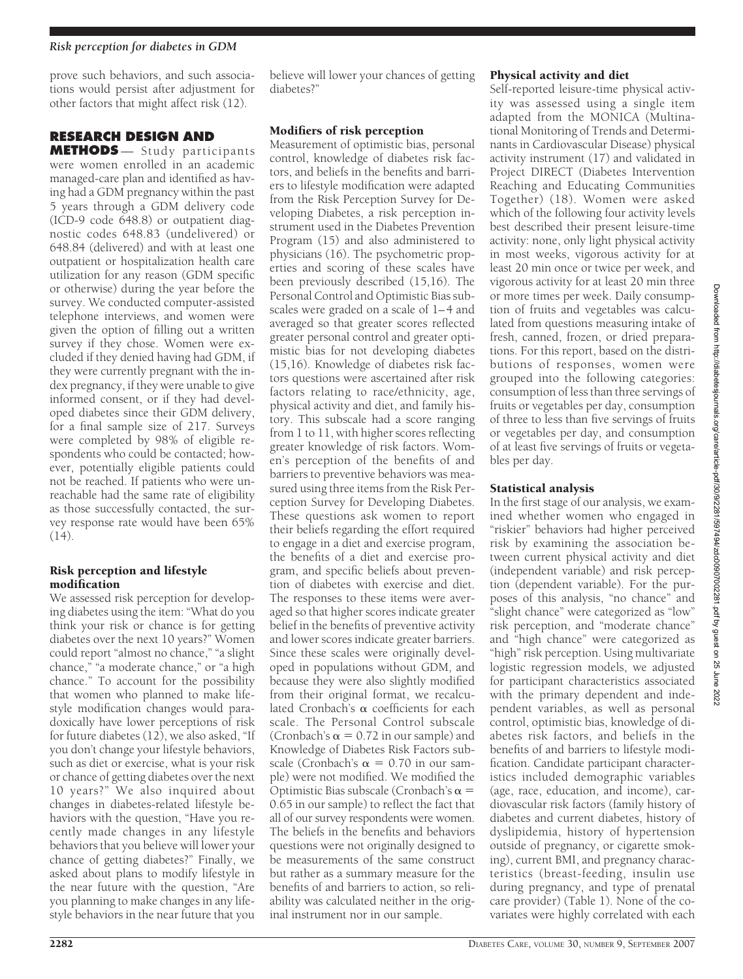#### *Risk perception for diabetes in GDM*

prove such behaviors, and such associations would persist after adjustment for other factors that might affect risk (12).

## **RESEARCH DESIGN AND**

**METHODS** — Study participants were women enrolled in an academic managed-care plan and identified as having had a GDM pregnancy within the past 5 years through a GDM delivery code (ICD-9 code 648.8) or outpatient diagnostic codes 648.83 (undelivered) or 648.84 (delivered) and with at least one outpatient or hospitalization health care utilization for any reason (GDM specific or otherwise) during the year before the survey. We conducted computer-assisted telephone interviews, and women were given the option of filling out a written survey if they chose. Women were excluded if they denied having had GDM, if they were currently pregnant with the index pregnancy, if they were unable to give informed consent, or if they had developed diabetes since their GDM delivery, for a final sample size of 217. Surveys were completed by 98% of eligible respondents who could be contacted; however, potentially eligible patients could not be reached. If patients who were unreachable had the same rate of eligibility as those successfully contacted, the survey response rate would have been 65% (14).

#### Risk perception and lifestyle modification

We assessed risk perception for developing diabetes using the item: "What do you think your risk or chance is for getting diabetes over the next 10 years?" Women could report "almost no chance," "a slight chance," "a moderate chance," or "a high chance." To account for the possibility that women who planned to make lifestyle modification changes would paradoxically have lower perceptions of risk for future diabetes (12), we also asked, "If you don't change your lifestyle behaviors, such as diet or exercise, what is your risk or chance of getting diabetes over the next 10 years?" We also inquired about changes in diabetes-related lifestyle behaviors with the question, "Have you recently made changes in any lifestyle behaviors that you believe will lower your chance of getting diabetes?" Finally, we asked about plans to modify lifestyle in the near future with the question, "Are you planning to make changes in any lifestyle behaviors in the near future that you

believe will lower your chances of getting diabetes?"

#### Modifiers of risk perception

Measurement of optimistic bias, personal control, knowledge of diabetes risk factors, and beliefs in the benefits and barriers to lifestyle modification were adapted from the Risk Perception Survey for Developing Diabetes, a risk perception instrument used in the Diabetes Prevention Program (15) and also administered to physicians (16). The psychometric properties and scoring of these scales have been previously described (15,16). The Personal Control and Optimistic Bias subscales were graded on a scale of 1–4 and averaged so that greater scores reflected greater personal control and greater optimistic bias for not developing diabetes (15,16). Knowledge of diabetes risk factors questions were ascertained after risk factors relating to race/ethnicity, age, physical activity and diet, and family history. This subscale had a score ranging from 1 to 11, with higher scores reflecting greater knowledge of risk factors. Women's perception of the benefits of and barriers to preventive behaviors was measured using three items from the Risk Perception Survey for Developing Diabetes. These questions ask women to report their beliefs regarding the effort required to engage in a diet and exercise program, the benefits of a diet and exercise program, and specific beliefs about prevention of diabetes with exercise and diet. The responses to these items were averaged so that higher scores indicate greater belief in the benefits of preventive activity and lower scores indicate greater barriers. Since these scales were originally developed in populations without GDM, and because they were also slightly modified from their original format, we recalculated Cronbach's  $\alpha$  coefficients for each scale. The Personal Control subscale (Cronbach's  $\alpha = 0.72$  in our sample) and Knowledge of Diabetes Risk Factors subscale (Cronbach's  $\alpha = 0.70$  in our sample) were not modified. We modified the Optimistic Bias subscale (Cronbach's  $\alpha =$ 0.65 in our sample) to reflect the fact that all of our survey respondents were women. The beliefs in the benefits and behaviors questions were not originally designed to be measurements of the same construct but rather as a summary measure for the benefits of and barriers to action, so reliability was calculated neither in the original instrument nor in our sample.

## Physical activity and diet

Self-reported leisure-time physical activity was assessed using a single item adapted from the MONICA (Multinational Monitoring of Trends and Determinants in Cardiovascular Disease) physical activity instrument (17) and validated in Project DIRECT (Diabetes Intervention Reaching and Educating Communities Together) (18). Women were asked which of the following four activity levels best described their present leisure-time activity: none, only light physical activity in most weeks, vigorous activity for at least 20 min once or twice per week, and vigorous activity for at least 20 min three or more times per week. Daily consumption of fruits and vegetables was calculated from questions measuring intake of fresh, canned, frozen, or dried preparations. For this report, based on the distributions of responses, women were grouped into the following categories: consumption of less than three servings of fruits or vegetables per day, consumption of three to less than five servings of fruits or vegetables per day, and consumption of at least five servings of fruits or vegetables per day.

## Statistical analysis

In the first stage of our analysis, we examined whether women who engaged in "riskier" behaviors had higher perceived risk by examining the association between current physical activity and diet (independent variable) and risk perception (dependent variable). For the purposes of this analysis, "no chance" and "slight chance" were categorized as "low" risk perception, and "moderate chance" and "high chance" were categorized as "high" risk perception. Using multivariate logistic regression models, we adjusted for participant characteristics associated with the primary dependent and independent variables, as well as personal control, optimistic bias, knowledge of diabetes risk factors, and beliefs in the benefits of and barriers to lifestyle modification. Candidate participant characteristics included demographic variables (age, race, education, and income), cardiovascular risk factors (family history of diabetes and current diabetes, history of dyslipidemia, history of hypertension outside of pregnancy, or cigarette smoking), current BMI, and pregnancy characteristics (breast-feeding, insulin use during pregnancy, and type of prenatal care provider) (Table 1). None of the covariates were highly correlated with each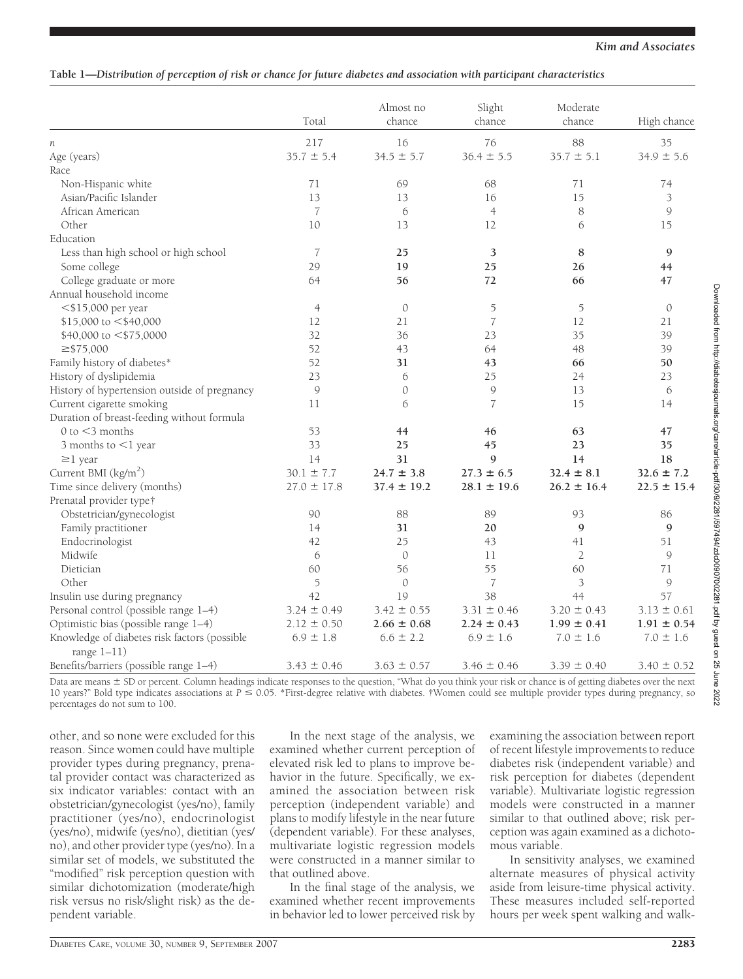# **Table 1—***Distribution of perception of risk or chance for future diabetes and association with participant characteristics*

|                                                                | Total           | Almost no<br>chance | Slight<br>chance | Moderate<br>chance | High chance     |
|----------------------------------------------------------------|-----------------|---------------------|------------------|--------------------|-----------------|
| n                                                              | 217             | 16                  | 76               | 88                 | 35              |
| Age (years)                                                    | $35.7 \pm 5.4$  | $34.5 \pm 5.7$      | $36.4 \pm 5.5$   | $35.7 \pm 5.1$     | $34.9 \pm 5.6$  |
| Race                                                           |                 |                     |                  |                    |                 |
| Non-Hispanic white                                             | 71              | 69                  | 68               | 71                 | 74              |
| Asian/Pacific Islander                                         | 13              | 13                  | 16               | 15                 | 3               |
| African American                                               | $\overline{7}$  | 6                   | $\overline{4}$   | 8                  | $\mathcal{Q}$   |
| Other                                                          | 10              | 13                  | 12               | 6                  | 15              |
| Education                                                      |                 |                     |                  |                    |                 |
| Less than high school or high school                           | $\overline{7}$  | 25                  | 3                | 8                  | 9               |
| Some college                                                   | 29              | 19                  | 25               | 26                 | 44              |
| College graduate or more                                       | 64              | 56                  | 72               | 66                 | 47              |
| Annual household income                                        |                 |                     |                  |                    |                 |
| $<$ \$15,000 per year                                          | $\overline{4}$  | $\mathcal{O}$       | 5                | 5                  | $\mathcal{O}$   |
| $$15,000$ to $$\$40,000$                                       | 12              | 21                  | $\overline{7}$   | 12                 | 21              |
| \$40,000 to <\$75,0000                                         | 32              | 36                  | 23               | 35                 | 39              |
| $\geq$ \$75,000                                                | 52              | 43                  | 64               | 48                 | 39              |
| Family history of diabetes*                                    | 52              | 31                  | 43               | 66                 | 50              |
| History of dyslipidemia                                        | 23              | 6                   | 25               | 24                 | 23              |
| History of hypertension outside of pregnancy                   | 9               | $\mathcal{O}$       | 9                | 13                 | 6               |
| Current cigarette smoking                                      | 11              | 6                   | $\overline{7}$   | 15                 | 14              |
| Duration of breast-feeding without formula                     |                 |                     |                  |                    |                 |
| 0 to $<$ 3 months                                              | 53              | 44                  | 46               | 63                 | 47              |
| 3 months to $<$ 1 year                                         | 33              | 25                  | 45               | 23                 | 35              |
| $\geq$ 1 year                                                  | 14              | 31                  | $\mathbf Q$      | 14                 | 18              |
| Current BMI $(kg/m2)$                                          | $30.1 \pm 7.7$  | $24.7 \pm 3.8$      | $27.3 \pm 6.5$   | $32.4 \pm 8.1$     | $32.6 \pm 7.2$  |
| Time since delivery (months)                                   | $27.0 \pm 17.8$ | $37.4 \pm 19.2$     | $28.1 \pm 19.6$  | $26.2 \pm 16.4$    | $22.5 \pm 15.4$ |
| Prenatal provider type†                                        |                 |                     |                  |                    |                 |
| Obstetrician/gynecologist                                      | 90              | 88                  | 89               | 93                 | 86              |
| Family practitioner                                            | 14              | 31                  | 20               | 9                  | 9               |
| Endocrinologist                                                | 42              | 25                  | 43               | 41                 | 51              |
| Midwife                                                        | 6               | $\mathcal{O}$       | 11               | $\overline{2}$     | 9               |
| Dietician                                                      | 60              | 56                  | 55               | 60                 | 71              |
| Other                                                          | 5               | $\mathcal{O}$       | 7                | 3                  | 9               |
| Insulin use during pregnancy                                   | 42              | 19                  | 38               | 44                 | 57              |
| Personal control (possible range 1-4)                          | $3.24 \pm 0.49$ | $3.42 \pm 0.55$     | $3.31 \pm 0.46$  | $3.20 \pm 0.43$    | $3.13 \pm 0.61$ |
| Optimistic bias (possible range 1-4)                           | $2.12 \pm 0.50$ | $2.66 \pm 0.68$     | $2.24 \pm 0.43$  | $1.99 \pm 0.41$    | $1.91 \pm 0.54$ |
| Knowledge of diabetes risk factors (possible<br>range $1-11$ ) | $6.9 \pm 1.8$   | $6.6 \pm 2.2$       | $6.9 \pm 1.6$    | $7.0 \pm 1.6$      | $7.0 \pm 1.6$   |
| Benefits/barriers (possible range 1-4)                         | $3.43 \pm 0.46$ | $3.63 \pm 0.57$     | $3.46 \pm 0.46$  | $3.39 \pm 0.40$    | $3.40 \pm 0.52$ |

Downloaded from http://diabetesjournals.org/care/article-pdf/30/9/2281/597494/zdc00907002281.pdf by guest on 25 June 202: Downloaded from http://diabetesjournals.org/care/article-pdf/30/9/2281/597494/zdc00907002281.pdf by guest on 25 June 2022

Data are means  $\pm$  SD or percent. Column headings indicate responses to the question, "What do you think your risk or chance is of getting diabetes over the next 10 years?" Bold type indicates associations at  $P \le 0.05$ . \*First-degree relative with diabetes. †Women could see multiple provider types during pregnancy, so percentages do not sum to 100.

other, and so none were excluded for this reason. Since women could have multiple provider types during pregnancy, prenatal provider contact was characterized as six indicator variables: contact with an obstetrician/gynecologist (yes/no), family practitioner (yes/no), endocrinologist (yes/no), midwife (yes/no), dietitian (yes/ no), and other provider type (yes/no). In a similar set of models, we substituted the "modified" risk perception question with similar dichotomization (moderate/high risk versus no risk/slight risk) as the dependent variable.

In the next stage of the analysis, we examined whether current perception of elevated risk led to plans to improve behavior in the future. Specifically, we examined the association between risk perception (independent variable) and plans to modify lifestyle in the near future (dependent variable). For these analyses, multivariate logistic regression models were constructed in a manner similar to that outlined above.

In the final stage of the analysis, we examined whether recent improvements in behavior led to lower perceived risk by examining the association between report of recent lifestyle improvements to reduce diabetes risk (independent variable) and risk perception for diabetes (dependent variable). Multivariate logistic regression models were constructed in a manner similar to that outlined above; risk perception was again examined as a dichotomous variable.

In sensitivity analyses, we examined alternate measures of physical activity aside from leisure-time physical activity. These measures included self-reported hours per week spent walking and walk-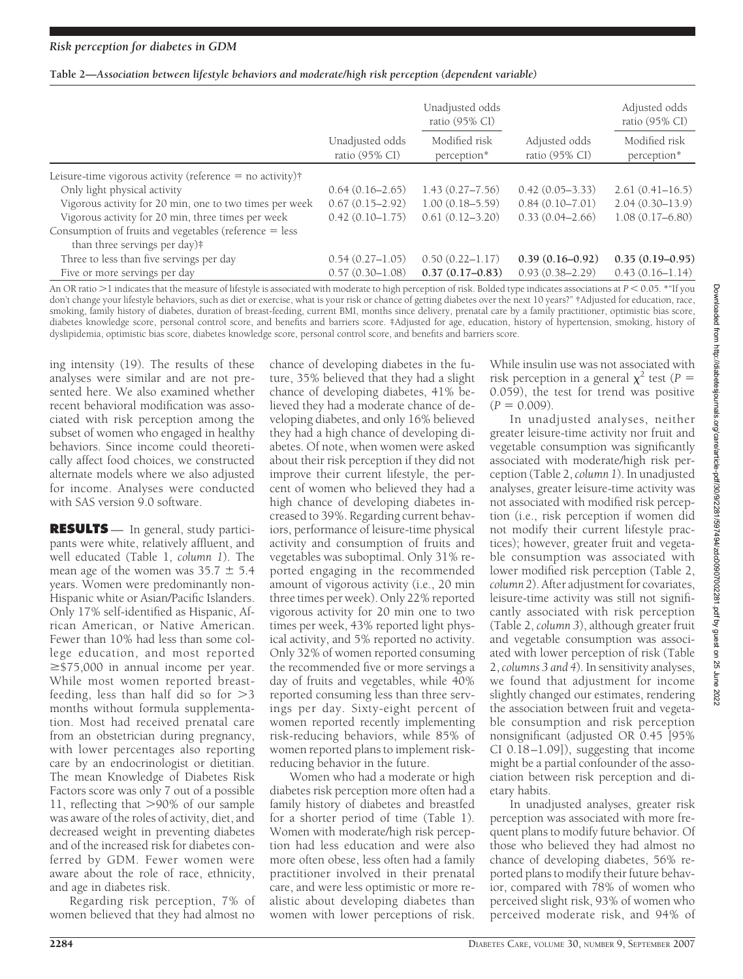| Table 2—Association between lifestyle behaviors and moderate/high risk perception (dependent variable) |  |  |  |
|--------------------------------------------------------------------------------------------------------|--|--|--|
|                                                                                                        |  |  |  |

|                                                                    |                                              | Unadjusted odds<br>ratio $(95\% \text{ CI})$ |                                            | Adjusted odds<br>ratio (95% CI) |
|--------------------------------------------------------------------|----------------------------------------------|----------------------------------------------|--------------------------------------------|---------------------------------|
|                                                                    | Unadjusted odds<br>ratio $(95\% \text{ CI})$ | Modified risk<br>perception*                 | Adjusted odds<br>ratio $(95\% \text{ CI})$ | Modified risk<br>perception*    |
| Leisure-time vigorous activity (reference = no activity) $\dagger$ |                                              |                                              |                                            |                                 |
| Only light physical activity                                       | $0.64(0.16-2.65)$                            | $1.43(0.27 - 7.56)$                          | $0.42(0.05-3.33)$                          | $2.61(0.41-16.5)$               |
| Vigorous activity for 20 min, one to two times per week            | $0.67(0.15-2.92)$                            | $1.00(0.18 - 5.59)$                          | $0.84(0.10 - 7.01)$                        | $2.04(0.30-13.9)$               |
| Vigorous activity for 20 min, three times per week                 | $0.42(0.10 - 1.75)$                          | $0.61(0.12 - 3.20)$                          | $0.33(0.04 - 2.66)$                        | $1.08(0.17 - 6.80)$             |
| Consumption of fruits and vegetables (reference = less             |                                              |                                              |                                            |                                 |
| than three servings per day)#                                      |                                              |                                              |                                            |                                 |
| Three to less than five servings per day                           | $0.54(0.27-1.05)$                            | $0.50(0.22 - 1.17)$                          | $0.39(0.16 - 0.92)$                        | $0.35(0.19-0.95)$               |
| Five or more servings per day                                      | $0.57(0.30-1.08)$                            | $0.37(0.17-0.83)$                            | $0.93(0.38 - 2.29)$                        | $0.43(0.16 - 1.14)$             |

An OR ratio >1 indicates that the measure of lifestyle is associated with moderate to high perception of risk. Bolded type indicates associations at *P* < 0.05. \*"If you don't change your lifestyle behaviors, such as diet or exercise, what is your risk or chance of getting diabetes over the next 10 years?" †Adjusted for education, race, smoking, family history of diabetes, duration of breast-feeding, current BMI, months since delivery, prenatal care by a family practitioner, optimistic bias score, diabetes knowledge score, personal control score, and benefits and barriers score. ‡Adjusted for age, education, history of hypertension, smoking, history of dyslipidemia, optimistic bias score, diabetes knowledge score, personal control score, and benefits and barriers score.

ing intensity (19). The results of these analyses were similar and are not presented here. We also examined whether recent behavioral modification was associated with risk perception among the subset of women who engaged in healthy behaviors. Since income could theoretically affect food choices, we constructed alternate models where we also adjusted for income. Analyses were conducted with SAS version 9.0 software.

**RESULTS** — In general, study participants were white, relatively affluent, and well educated (Table 1, *column 1*). The mean age of the women was  $35.7 \pm 5.4$ years. Women were predominantly non-Hispanic white or Asian/Pacific Islanders. Only 17% self-identified as Hispanic, African American, or Native American. Fewer than 10% had less than some college education, and most reported  $\geq$ \$75,000 in annual income per year. While most women reported breastfeeding, less than half did so for  $>3$ months without formula supplementation. Most had received prenatal care from an obstetrician during pregnancy, with lower percentages also reporting care by an endocrinologist or dietitian. The mean Knowledge of Diabetes Risk Factors score was only 7 out of a possible 11, reflecting that 90% of our sample was aware of the roles of activity, diet, and decreased weight in preventing diabetes and of the increased risk for diabetes conferred by GDM. Fewer women were aware about the role of race, ethnicity, and age in diabetes risk.

Regarding risk perception, 7% of women believed that they had almost no

chance of developing diabetes in the future, 35% believed that they had a slight chance of developing diabetes, 41% believed they had a moderate chance of developing diabetes, and only 16% believed they had a high chance of developing diabetes. Of note, when women were asked about their risk perception if they did not improve their current lifestyle, the percent of women who believed they had a high chance of developing diabetes increased to 39%. Regarding current behaviors, performance of leisure-time physical activity and consumption of fruits and vegetables was suboptimal. Only 31% reported engaging in the recommended amount of vigorous activity (i.e., 20 min three times per week). Only 22% reported vigorous activity for 20 min one to two times per week, 43% reported light physical activity, and 5% reported no activity. Only 32% of women reported consuming the recommended five or more servings a day of fruits and vegetables, while 40% reported consuming less than three servings per day. Sixty-eight percent of women reported recently implementing risk-reducing behaviors, while 85% of women reported plans to implement riskreducing behavior in the future.

Women who had a moderate or high diabetes risk perception more often had a family history of diabetes and breastfed for a shorter period of time (Table 1). Women with moderate/high risk perception had less education and were also more often obese, less often had a family practitioner involved in their prenatal care, and were less optimistic or more realistic about developing diabetes than women with lower perceptions of risk.

While insulin use was not associated with risk perception in a general  $\chi^2$  test (*P* = 0.059), the test for trend was positive  $(P = 0.009)$ .

In unadjusted analyses, neither greater leisure-time activity nor fruit and vegetable consumption was significantly associated with moderate/high risk perception (Table 2,*column 1*). In unadjusted analyses, greater leisure-time activity was not associated with modified risk perception (i.e., risk perception if women did not modify their current lifestyle practices); however, greater fruit and vegetable consumption was associated with lower modified risk perception (Table 2, *column 2*). After adjustment for covariates, leisure-time activity was still not significantly associated with risk perception (Table 2, *column 3*), although greater fruit and vegetable consumption was associated with lower perception of risk (Table 2,*columns 3 and 4*). In sensitivity analyses, we found that adjustment for income slightly changed our estimates, rendering the association between fruit and vegetable consumption and risk perception nonsignificant (adjusted OR 0.45 [95% CI 0.18–1.09]), suggesting that income might be a partial confounder of the association between risk perception and dietary habits.

In unadjusted analyses, greater risk perception was associated with more frequent plans to modify future behavior. Of those who believed they had almost no chance of developing diabetes, 56% reported plans to modify their future behavior, compared with 78% of women who perceived slight risk, 93% of women who perceived moderate risk, and 94% of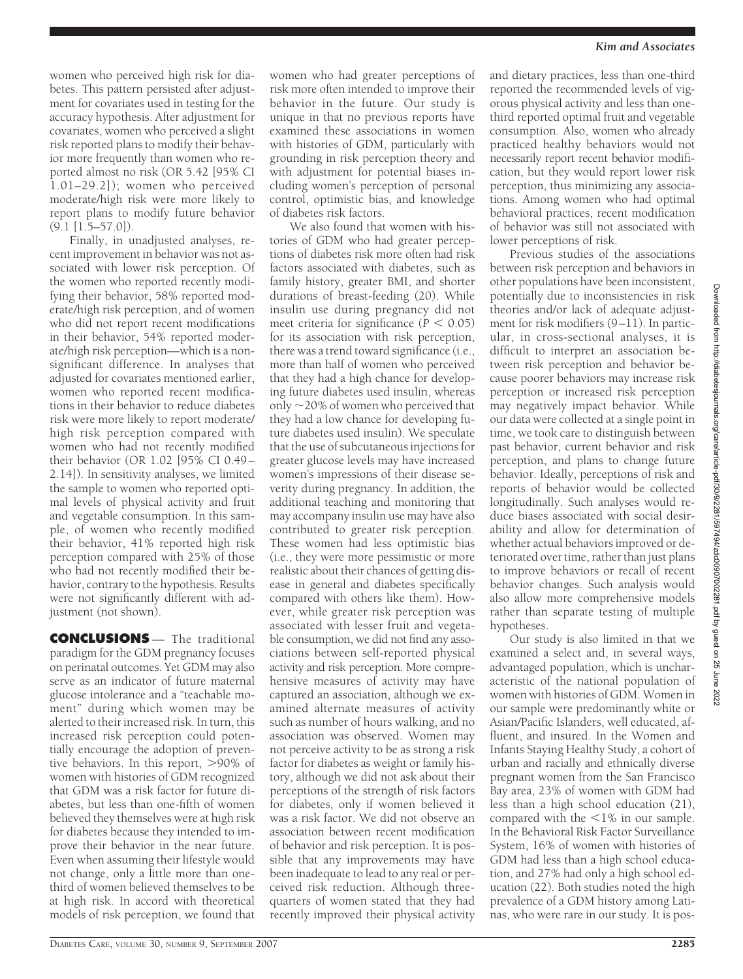women who perceived high risk for diabetes. This pattern persisted after adjustment for covariates used in testing for the accuracy hypothesis. After adjustment for covariates, women who perceived a slight risk reported plans to modify their behavior more frequently than women who reported almost no risk (OR 5.42 [95% CI 1.01–29.2]); women who perceived moderate/high risk were more likely to report plans to modify future behavior  $(9.1$   $[1.5-57.0]$ ).

Finally, in unadjusted analyses, recent improvement in behavior was not associated with lower risk perception. Of the women who reported recently modifying their behavior, 58% reported moderate/high risk perception, and of women who did not report recent modifications in their behavior, 54% reported moderate/high risk perception—which is a nonsignificant difference. In analyses that adjusted for covariates mentioned earlier, women who reported recent modifications in their behavior to reduce diabetes risk were more likely to report moderate/ high risk perception compared with women who had not recently modified their behavior (OR 1.02 [95% CI 0.49– 2.14]). In sensitivity analyses, we limited the sample to women who reported optimal levels of physical activity and fruit and vegetable consumption. In this sample, of women who recently modified their behavior, 41% reported high risk perception compared with 25% of those who had not recently modified their behavior, contrary to the hypothesis. Results were not significantly different with adjustment (not shown).

**CONCLUSIONS** - The traditional paradigm for the GDM pregnancy focuses on perinatal outcomes. Yet GDM may also serve as an indicator of future maternal glucose intolerance and a "teachable moment" during which women may be alerted to their increased risk. In turn, this increased risk perception could potentially encourage the adoption of preventive behaviors. In this report, >90% of women with histories of GDM recognized that GDM was a risk factor for future diabetes, but less than one-fifth of women believed they themselves were at high risk for diabetes because they intended to improve their behavior in the near future. Even when assuming their lifestyle would not change, only a little more than onethird of women believed themselves to be at high risk. In accord with theoretical models of risk perception, we found that

women who had greater perceptions of risk more often intended to improve their behavior in the future. Our study is unique in that no previous reports have examined these associations in women with histories of GDM, particularly with grounding in risk perception theory and with adjustment for potential biases including women's perception of personal control, optimistic bias, and knowledge of diabetes risk factors.

We also found that women with histories of GDM who had greater perceptions of diabetes risk more often had risk factors associated with diabetes, such as family history, greater BMI, and shorter durations of breast-feeding (20). While insulin use during pregnancy did not meet criteria for significance ( $P < 0.05$ ) for its association with risk perception, there was a trend toward significance (i.e., more than half of women who perceived that they had a high chance for developing future diabetes used insulin, whereas only  $\sim$  20% of women who perceived that they had a low chance for developing future diabetes used insulin). We speculate that the use of subcutaneous injections for greater glucose levels may have increased women's impressions of their disease severity during pregnancy. In addition, the additional teaching and monitoring that may accompany insulin use may have also contributed to greater risk perception. These women had less optimistic bias (i.e., they were more pessimistic or more realistic about their chances of getting disease in general and diabetes specifically compared with others like them). However, while greater risk perception was associated with lesser fruit and vegetable consumption, we did not find any associations between self-reported physical activity and risk perception. More comprehensive measures of activity may have captured an association, although we examined alternate measures of activity such as number of hours walking, and no association was observed. Women may not perceive activity to be as strong a risk factor for diabetes as weight or family history, although we did not ask about their perceptions of the strength of risk factors for diabetes, only if women believed it was a risk factor. We did not observe an association between recent modification of behavior and risk perception. It is possible that any improvements may have been inadequate to lead to any real or perceived risk reduction. Although threequarters of women stated that they had recently improved their physical activity

and dietary practices, less than one-third reported the recommended levels of vigorous physical activity and less than onethird reported optimal fruit and vegetable consumption. Also, women who already practiced healthy behaviors would not necessarily report recent behavior modification, but they would report lower risk perception, thus minimizing any associations. Among women who had optimal behavioral practices, recent modification of behavior was still not associated with lower perceptions of risk.

Previous studies of the associations between risk perception and behaviors in other populations have been inconsistent, potentially due to inconsistencies in risk theories and/or lack of adequate adjustment for risk modifiers (9–11). In particular, in cross-sectional analyses, it is difficult to interpret an association between risk perception and behavior because poorer behaviors may increase risk perception or increased risk perception may negatively impact behavior. While our data were collected at a single point in time, we took care to distinguish between past behavior, current behavior and risk perception, and plans to change future behavior. Ideally, perceptions of risk and reports of behavior would be collected longitudinally. Such analyses would reduce biases associated with social desirability and allow for determination of whether actual behaviors improved or deteriorated over time, rather than just plans to improve behaviors or recall of recent behavior changes. Such analysis would also allow more comprehensive models rather than separate testing of multiple hypotheses.

Our study is also limited in that we examined a select and, in several ways, advantaged population, which is uncharacteristic of the national population of women with histories of GDM. Women in our sample were predominantly white or Asian/Pacific Islanders, well educated, affluent, and insured. In the Women and Infants Staying Healthy Study, a cohort of urban and racially and ethnically diverse pregnant women from the San Francisco Bay area, 23% of women with GDM had less than a high school education (21), compared with the  $\leq 1\%$  in our sample. In the Behavioral Risk Factor Surveillance System, 16% of women with histories of GDM had less than a high school education, and 27% had only a high school education (22). Both studies noted the high prevalence of a GDM history among Latinas, who were rare in our study. It is pos-